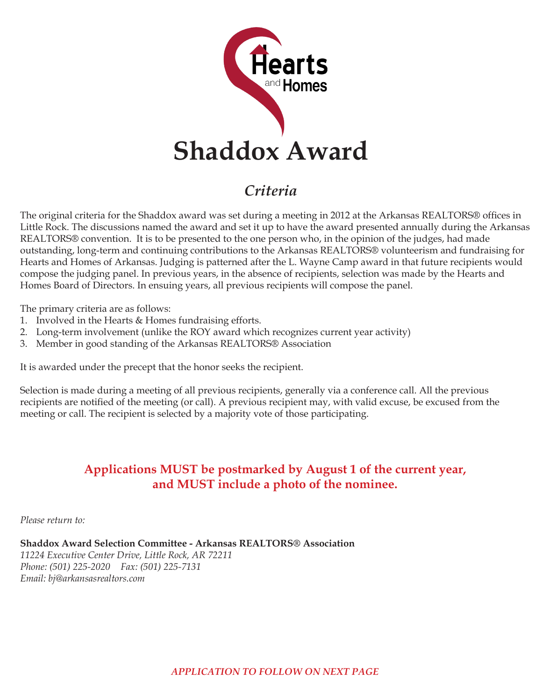

## *Criteria*

The original criteria for the Shaddox award was set during a meeting in 2012 at the Arkansas REALTORS® offices in Little Rock. The discussions named the award and set it up to have the award presented annually during the Arkansas REALTORS® convention. It is to be presented to the one person who, in the opinion of the judges, had made outstanding, long-term and continuing contributions to the Arkansas REALTORS® volunteerism and fundraising for Hearts and Homes of Arkansas. Judging is patterned after the L. Wayne Camp award in that future recipients would compose the judging panel. In previous years, in the absence of recipients, selection was made by the Hearts and Homes Board of Directors. In ensuing years, all previous recipients will compose the panel.

The primary criteria are as follows:

- 1. Involved in the Hearts & Homes fundraising efforts.
- 2. Long-term involvement (unlike the ROY award which recognizes current year activity)
- 3. Member in good standing of the Arkansas REALTORS® Association

It is awarded under the precept that the honor seeks the recipient.

Selection is made during a meeting of all previous recipients, generally via a conference call. All the previous recipients are notified of the meeting (or call). A previous recipient may, with valid excuse, be excused from the meeting or call. The recipient is selected by a majority vote of those participating.

## **Applications MUST be postmarked by August 1 of the current year, and MUST include a photo of the nominee.**

*Please return to:*

**Shaddox Award Selection Committee - Arkansas REALTORS® Association** *11224 Executive Center Drive, Little Rock, AR 72211 Phone: (501) 225-2020 Fax: (501) 225-7131 Email: bj@arkansasrealtors.com*